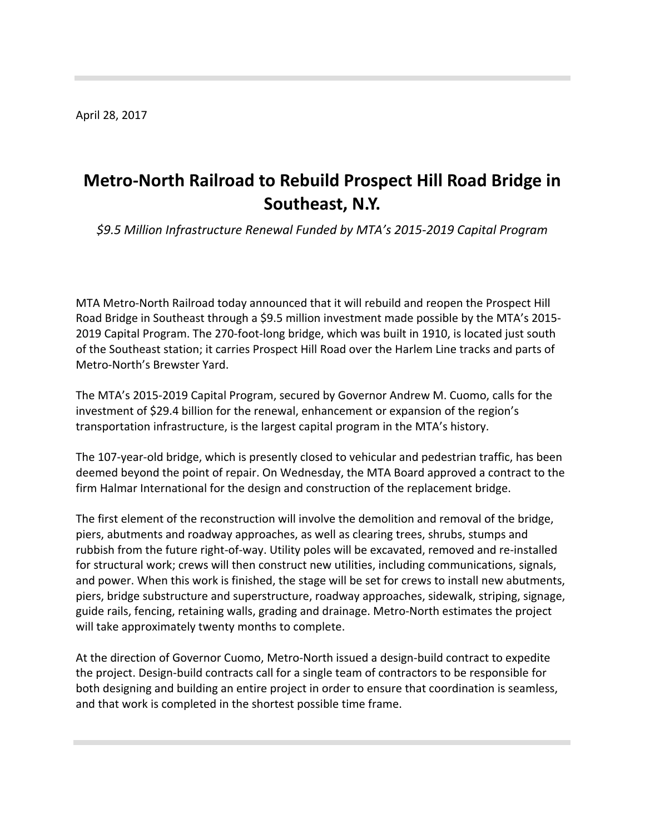April 28, 2017

## **Metro‐North Railroad to Rebuild Prospect Hill Road Bridge in Southeast, N.Y.**

*\$9.5 Million Infrastructure Renewal Funded by MTA's 2015‐2019 Capital Program*

MTA Metro‐North Railroad today announced that it will rebuild and reopen the Prospect Hill Road Bridge in Southeast through a \$9.5 million investment made possible by the MTA's 2015‐ 2019 Capital Program. The 270‐foot‐long bridge, which was built in 1910, is located just south of the Southeast station; it carries Prospect Hill Road over the Harlem Line tracks and parts of Metro‐North's Brewster Yard.

The MTA's 2015‐2019 Capital Program, secured by Governor Andrew M. Cuomo, calls for the investment of \$29.4 billion for the renewal, enhancement or expansion of the region's transportation infrastructure, is the largest capital program in the MTA's history.

The 107‐year‐old bridge, which is presently closed to vehicular and pedestrian traffic, has been deemed beyond the point of repair. On Wednesday, the MTA Board approved a contract to the firm Halmar International for the design and construction of the replacement bridge.

The first element of the reconstruction will involve the demolition and removal of the bridge, piers, abutments and roadway approaches, as well as clearing trees, shrubs, stumps and rubbish from the future right‐of‐way. Utility poles will be excavated, removed and re‐installed for structural work; crews will then construct new utilities, including communications, signals, and power. When this work is finished, the stage will be set for crews to install new abutments, piers, bridge substructure and superstructure, roadway approaches, sidewalk, striping, signage, guide rails, fencing, retaining walls, grading and drainage. Metro‐North estimates the project will take approximately twenty months to complete.

At the direction of Governor Cuomo, Metro‐North issued a design‐build contract to expedite the project. Design‐build contracts call for a single team of contractors to be responsible for both designing and building an entire project in order to ensure that coordination is seamless, and that work is completed in the shortest possible time frame.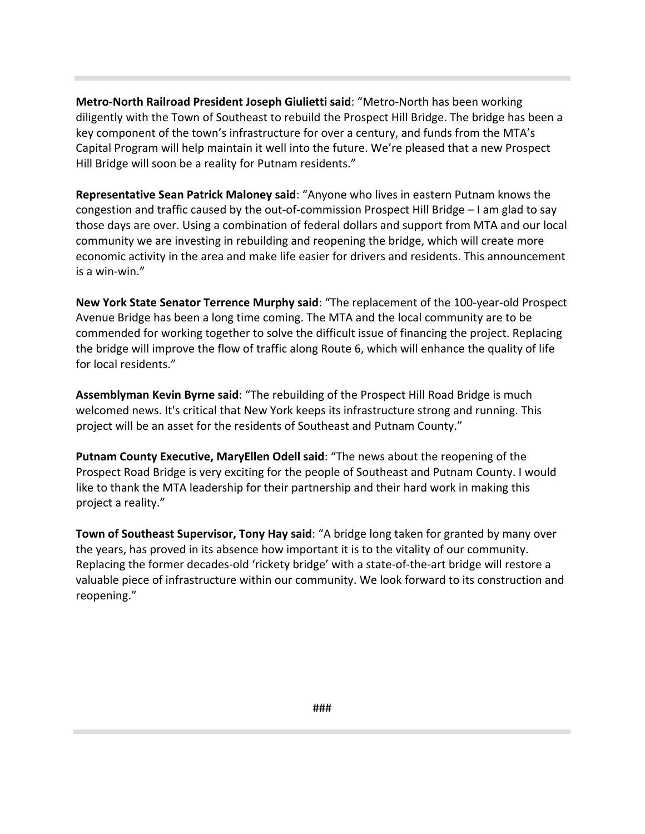**Metro‐North Railroad President Joseph Giulietti said**: "Metro‐North has been working diligently with the Town of Southeast to rebuild the Prospect Hill Bridge. The bridge has been a key component of the town's infrastructure for over a century, and funds from the MTA's Capital Program will help maintain it well into the future. We're pleased that a new Prospect Hill Bridge will soon be a reality for Putnam residents."

**Representative Sean Patrick Maloney said**: "Anyone who lives in eastern Putnam knows the congestion and traffic caused by the out‐of‐commission Prospect Hill Bridge – I am glad to say those days are over. Using a combination of federal dollars and support from MTA and our local community we are investing in rebuilding and reopening the bridge, which will create more economic activity in the area and make life easier for drivers and residents. This announcement is a win‐win."

**New York State Senator Terrence Murphy said**: "The replacement of the 100‐year‐old Prospect Avenue Bridge has been a long time coming. The MTA and the local community are to be commended for working together to solve the difficult issue of financing the project. Replacing the bridge will improve the flow of traffic along Route 6, which will enhance the quality of life for local residents."

**Assemblyman Kevin Byrne said**: "The rebuilding of the Prospect Hill Road Bridge is much welcomed news. It's critical that New York keeps its infrastructure strong and running. This project will be an asset for the residents of Southeast and Putnam County."

**Putnam County Executive, MaryEllen Odell said**: "The news about the reopening of the Prospect Road Bridge is very exciting for the people of Southeast and Putnam County. I would like to thank the MTA leadership for their partnership and their hard work in making this project a reality."

**Town of Southeast Supervisor, Tony Hay said**: "A bridge long taken for granted by many over the years, has proved in its absence how important it is to the vitality of our community. Replacing the former decades‐old 'rickety bridge' with a state‐of‐the‐art bridge will restore a valuable piece of infrastructure within our community. We look forward to its construction and reopening."